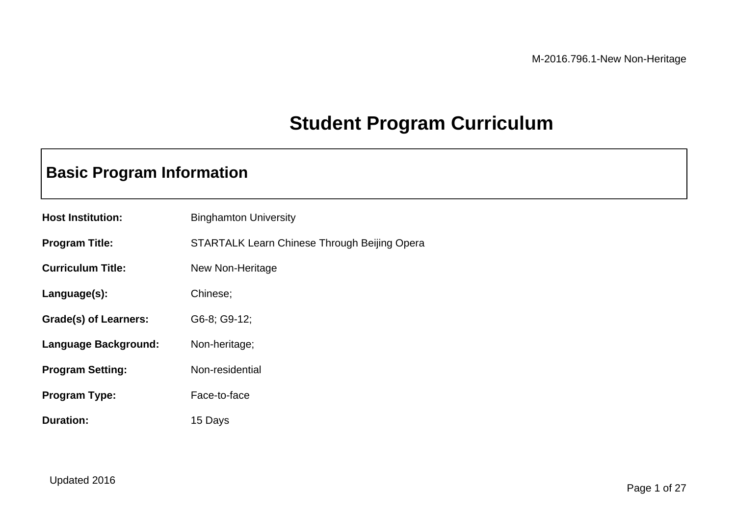## **Student Program Curriculum**

### **Basic Program Information**

| <b>Host Institution:</b>     | <b>Binghamton University</b>                 |
|------------------------------|----------------------------------------------|
| <b>Program Title:</b>        | STARTALK Learn Chinese Through Beijing Opera |
| <b>Curriculum Title:</b>     | New Non-Heritage                             |
| Language(s):                 | Chinese;                                     |
| <b>Grade(s) of Learners:</b> | G6-8; G9-12;                                 |
| Language Background:         | Non-heritage;                                |
| <b>Program Setting:</b>      | Non-residential                              |
| <b>Program Type:</b>         | Face-to-face                                 |
| <b>Duration:</b>             | 15 Days                                      |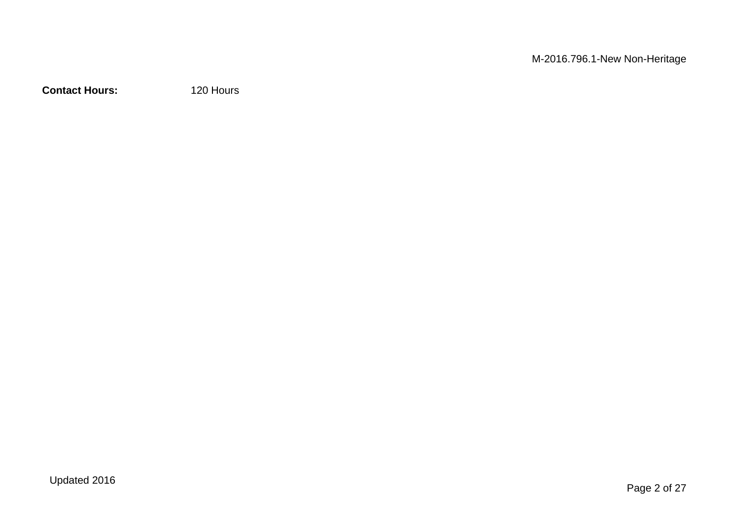**Contact Hours:** 120 Hours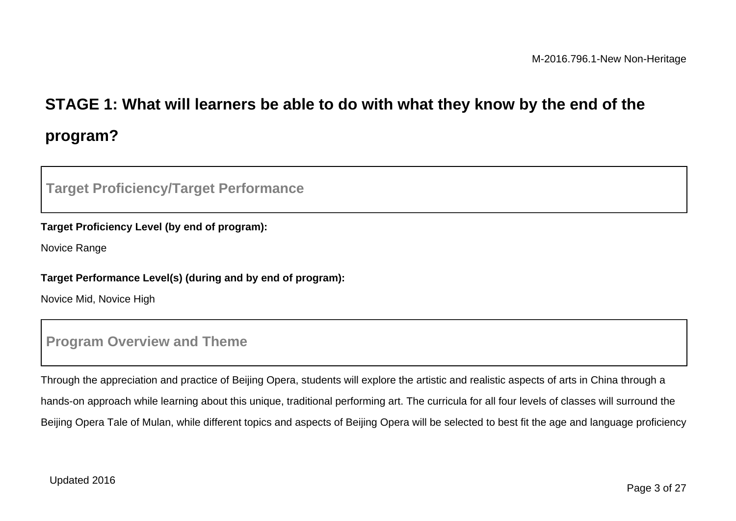# **STAGE 1: What will learners be able to do with what they know by the end of the program?**

### **Target Proficiency/Target Performance**

#### **Target Proficiency Level (by end of program):**

Novice Range

#### **Target Performance Level(s) (during and by end of program):**

Novice Mid, Novice High

#### **Program Overview and Theme**

Through the appreciation and practice of Beijing Opera, students will explore the artistic and realistic aspects of arts in China through a hands-on approach while learning about this unique, traditional performing art. The curricula for all four levels of classes will surround the Beijing Opera Tale of Mulan, while different topics and aspects of Beijing Opera will be selected to best fit the age and language proficiency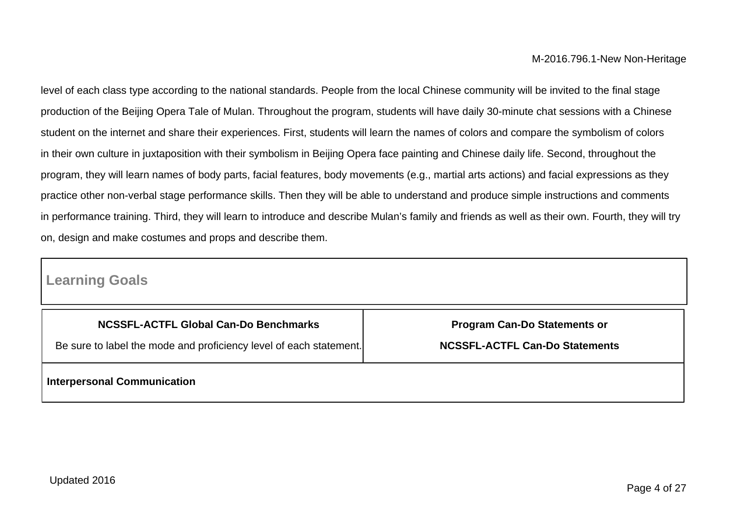level of each class type according to the national standards. People from the local Chinese community will be invited to the final stage production of the Beijing Opera Tale of Mulan. Throughout the program, students will have daily 30-minute chat sessions with a Chinese student on the internet and share their experiences. First, students will learn the names of colors and compare the symbolism of colors in their own culture in juxtaposition with their symbolism in Beijing Opera face painting and Chinese daily life. Second, throughout the program, they will learn names of body parts, facial features, body movements (e.g., martial arts actions) and facial expressions as they practice other non-verbal stage performance skills. Then they will be able to understand and produce simple instructions and comments in performance training. Third, they will learn to introduce and describe Mulan's family and friends as well as their own. Fourth, they will try on, design and make costumes and props and describe them.

### **Learning Goals**

| NCSSFL-ACTFL Global Can-Do Benchmarks                              | <b>Program Can-Do Statements or</b>   |
|--------------------------------------------------------------------|---------------------------------------|
| Be sure to label the mode and proficiency level of each statement. | <b>NCSSFL-ACTFL Can-Do Statements</b> |
| <b>Interpersonal Communication</b>                                 |                                       |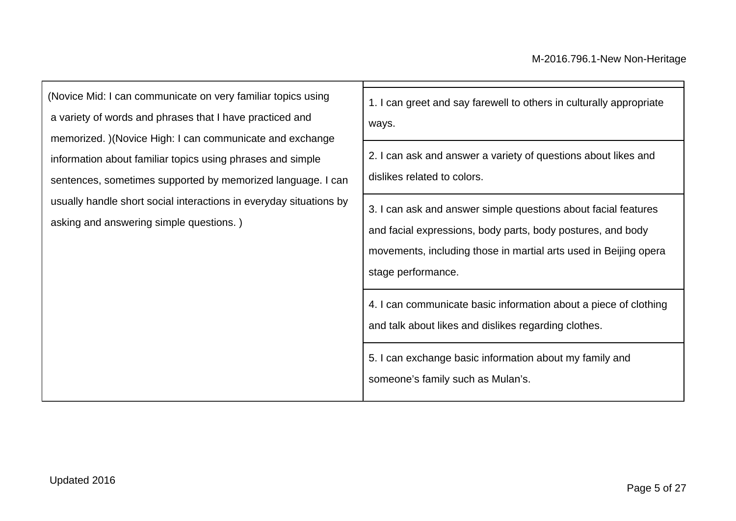(Novice Mid: I can communicate on very familiar topics using a variety of words and phrases that I have practiced and memorized. )(Novice High: I can communicate and exchange information about familiar topics using phrases and simple sentences, sometimes supported by memorized language. I can usually handle short social interactions in everyday situations by asking and answering simple questions. )

| can<br>s by | 1. I can greet and say farewell to others in culturally appropriate<br>ways.                                                                                                                                            |
|-------------|-------------------------------------------------------------------------------------------------------------------------------------------------------------------------------------------------------------------------|
|             | 2. I can ask and answer a variety of questions about likes and<br>dislikes related to colors.                                                                                                                           |
|             | 3. I can ask and answer simple questions about facial features<br>and facial expressions, body parts, body postures, and body<br>movements, including those in martial arts used in Beijing opera<br>stage performance. |
|             | 4. I can communicate basic information about a piece of clothing<br>and talk about likes and dislikes regarding clothes.                                                                                                |
|             | 5. I can exchange basic information about my family and<br>someone's family such as Mulan's.                                                                                                                            |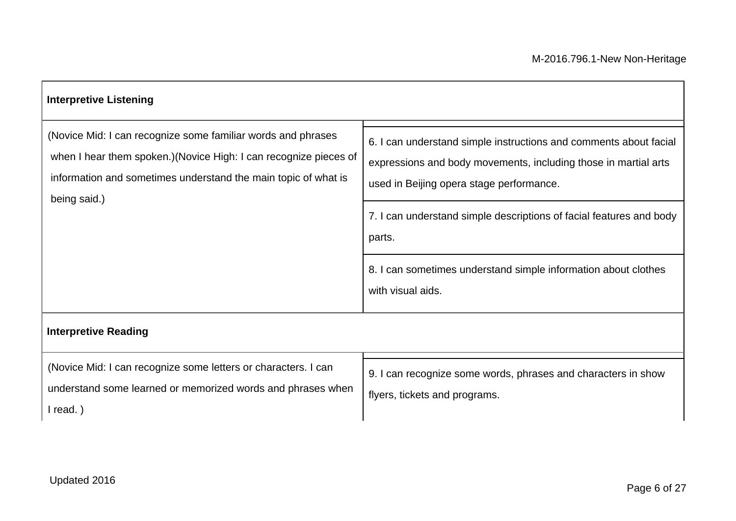| <b>Interpretive Listening</b>                                                                                                                                                                                       |                                                                                                                                                                                                                                                                   |
|---------------------------------------------------------------------------------------------------------------------------------------------------------------------------------------------------------------------|-------------------------------------------------------------------------------------------------------------------------------------------------------------------------------------------------------------------------------------------------------------------|
| (Novice Mid: I can recognize some familiar words and phrases<br>when I hear them spoken.) (Novice High: I can recognize pieces of<br>information and sometimes understand the main topic of what is<br>being said.) | 6. I can understand simple instructions and comments about facial<br>expressions and body movements, including those in martial arts<br>used in Beijing opera stage performance.<br>7. I can understand simple descriptions of facial features and body<br>parts. |
|                                                                                                                                                                                                                     | 8. I can sometimes understand simple information about clothes<br>with visual aids.                                                                                                                                                                               |
| <b>Interpretive Reading</b>                                                                                                                                                                                         |                                                                                                                                                                                                                                                                   |
| (Novice Mid: I can recognize some letters or characters. I can<br>understand some learned or memorized words and phrases when<br>$l$ read.)                                                                         | 9. I can recognize some words, phrases and characters in show<br>flyers, tickets and programs.                                                                                                                                                                    |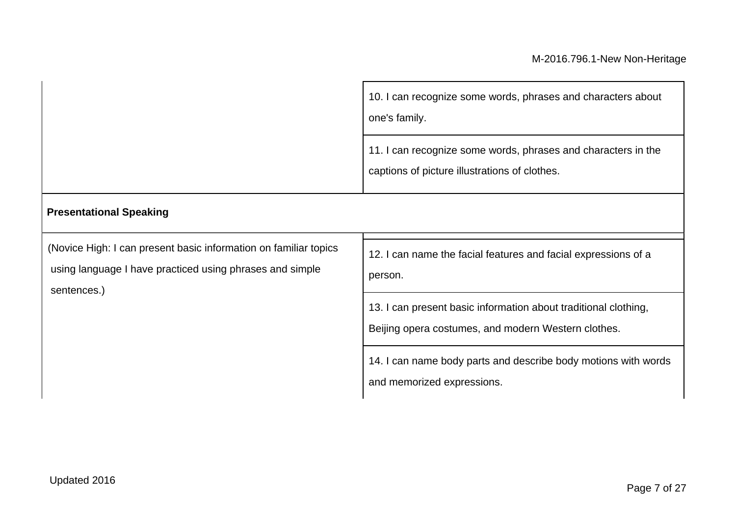|                                                                                                                                             | 10. I can recognize some words, phrases and characters about<br>one's family.                                          |  |
|---------------------------------------------------------------------------------------------------------------------------------------------|------------------------------------------------------------------------------------------------------------------------|--|
|                                                                                                                                             | 11. I can recognize some words, phrases and characters in the<br>captions of picture illustrations of clothes.         |  |
| <b>Presentational Speaking</b>                                                                                                              |                                                                                                                        |  |
| (Novice High: I can present basic information on familiar topics<br>using language I have practiced using phrases and simple<br>sentences.) | 12. I can name the facial features and facial expressions of a<br>person.                                              |  |
|                                                                                                                                             | 13. I can present basic information about traditional clothing,<br>Beijing opera costumes, and modern Western clothes. |  |
|                                                                                                                                             | 14. I can name body parts and describe body motions with words<br>and memorized expressions.                           |  |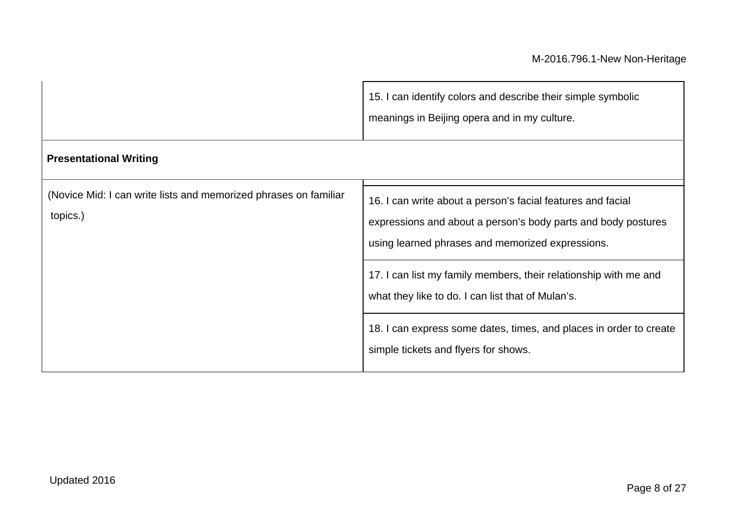|                                                                              | 15. I can identify colors and describe their simple symbolic<br>meanings in Beijing opera and in my culture.                                                                                                                                                                                              |
|------------------------------------------------------------------------------|-----------------------------------------------------------------------------------------------------------------------------------------------------------------------------------------------------------------------------------------------------------------------------------------------------------|
| <b>Presentational Writing</b>                                                |                                                                                                                                                                                                                                                                                                           |
| (Novice Mid: I can write lists and memorized phrases on familiar<br>topics.) | 16. I can write about a person's facial features and facial<br>expressions and about a person's body parts and body postures<br>using learned phrases and memorized expressions.<br>17. I can list my family members, their relationship with me and<br>what they like to do. I can list that of Mulan's. |
|                                                                              | 18. I can express some dates, times, and places in order to create<br>simple tickets and flyers for shows.                                                                                                                                                                                                |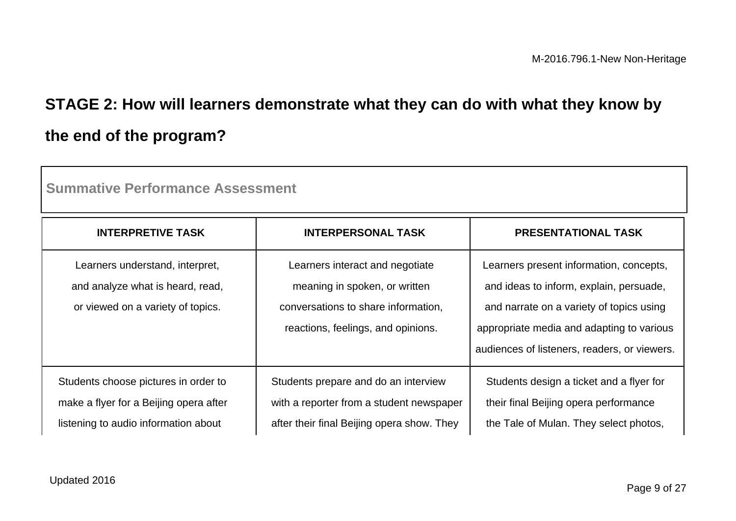# **STAGE 2: How will learners demonstrate what they can do with what they know by the end of the program?**

| <b>Summative Performance Assessment</b>                                                                                |                                                                                                                                               |                                                                                                                                                                                                                             |  |
|------------------------------------------------------------------------------------------------------------------------|-----------------------------------------------------------------------------------------------------------------------------------------------|-----------------------------------------------------------------------------------------------------------------------------------------------------------------------------------------------------------------------------|--|
| <b>INTERPRETIVE TASK</b>                                                                                               | <b>INTERPERSONAL TASK</b>                                                                                                                     | <b>PRESENTATIONAL TASK</b>                                                                                                                                                                                                  |  |
| Learners understand, interpret,<br>and analyze what is heard, read,<br>or viewed on a variety of topics.               | Learners interact and negotiate<br>meaning in spoken, or written<br>conversations to share information.<br>reactions, feelings, and opinions. | Learners present information, concepts,<br>and ideas to inform, explain, persuade,<br>and narrate on a variety of topics using<br>appropriate media and adapting to various<br>audiences of listeners, readers, or viewers. |  |
| Students choose pictures in order to<br>make a flyer for a Beijing opera after<br>listening to audio information about | Students prepare and do an interview<br>with a reporter from a student newspaper<br>after their final Beijing opera show. They                | Students design a ticket and a flyer for<br>their final Beijing opera performance<br>the Tale of Mulan. They select photos,                                                                                                 |  |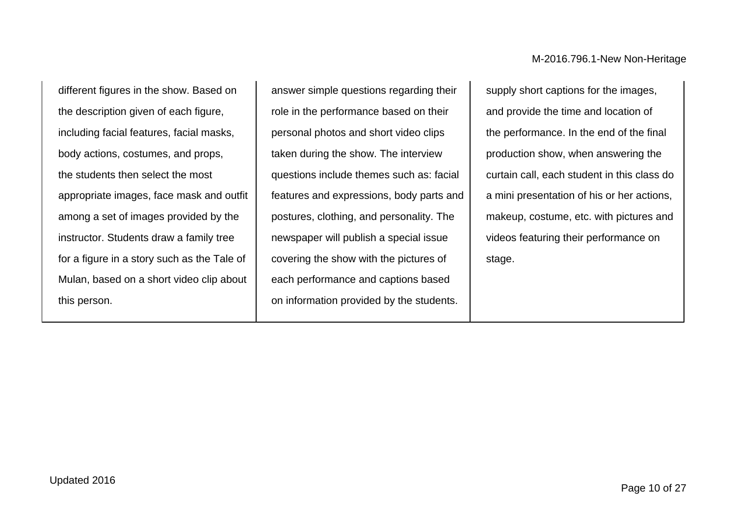different figures in the show. Based on the description given of each figure, including facial features, facial masks, body actions, costumes, and props, the students then select the most appropriate images, face mask and outfit among a set of images provided by the instructor. Students draw a family tree for a figure in a story such as the Tale of Mulan, based on a short video clip about this person.

answer simple questions regarding their role in the performance based on their personal photos and short video clips taken during the show. The interview questions include themes such as: facial features and expressions, body parts and postures, clothing, and personality. The newspaper will publish a special issue covering the show with the pictures of each performance and captions based on information provided by the students.

supply short captions for the images, and provide the time and location of the performance. In the end of the final production show, when answering the curtain call, each student in this class do a mini presentation of his or her actions, makeup, costume, etc. with pictures and videos featuring their performance on stage.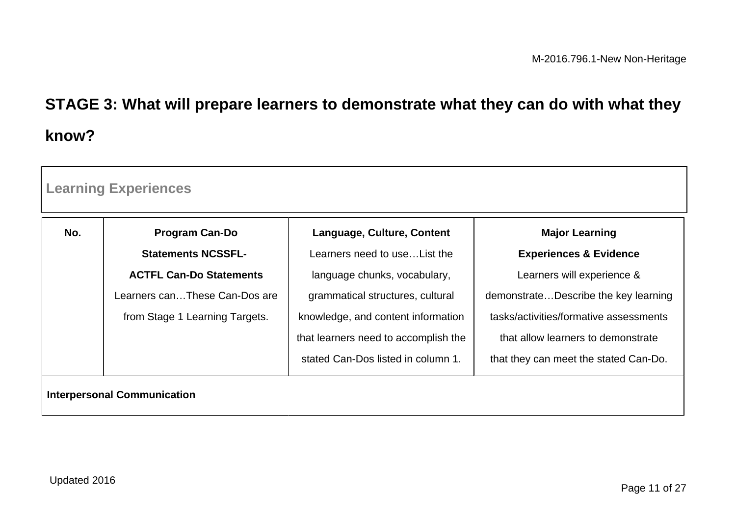# **STAGE 3: What will prepare learners to demonstrate what they can do with what they know?**

| <b>Learning Experiences</b>        |                                |                                      |                                        |
|------------------------------------|--------------------------------|--------------------------------------|----------------------------------------|
| No.                                | <b>Program Can-Do</b>          | Language, Culture, Content           | <b>Major Learning</b>                  |
|                                    | <b>Statements NCSSFL-</b>      | Learners need to use List the        | <b>Experiences &amp; Evidence</b>      |
|                                    | <b>ACTFL Can-Do Statements</b> | language chunks, vocabulary,         | Learners will experience &             |
|                                    | Learners canThese Can-Dos are  | grammatical structures, cultural     | demonstrateDescribe the key learning   |
|                                    | from Stage 1 Learning Targets. | knowledge, and content information   | tasks/activities/formative assessments |
|                                    |                                | that learners need to accomplish the | that allow learners to demonstrate     |
|                                    |                                | stated Can-Dos listed in column 1.   | that they can meet the stated Can-Do.  |
| <b>Interpersonal Communication</b> |                                |                                      |                                        |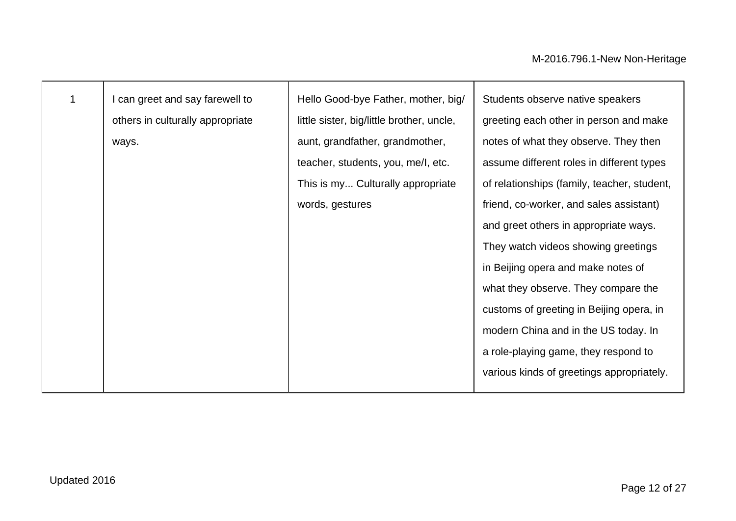| 1 | can greet and say farewell to    | Hello Good-bye Father, mother, big/       | Students observe native speakers            |
|---|----------------------------------|-------------------------------------------|---------------------------------------------|
|   | others in culturally appropriate | little sister, big/little brother, uncle, | greeting each other in person and make      |
|   | ways.                            | aunt, grandfather, grandmother,           | notes of what they observe. They then       |
|   |                                  | teacher, students, you, me/l, etc.        | assume different roles in different types   |
|   |                                  | This is my Culturally appropriate         | of relationships (family, teacher, student, |
|   |                                  | words, gestures                           | friend, co-worker, and sales assistant)     |
|   |                                  |                                           | and greet others in appropriate ways.       |
|   |                                  |                                           | They watch videos showing greetings         |
|   |                                  |                                           | in Beijing opera and make notes of          |
|   |                                  |                                           | what they observe. They compare the         |
|   |                                  |                                           | customs of greeting in Beijing opera, in    |
|   |                                  |                                           | modern China and in the US today. In        |
|   |                                  |                                           | a role-playing game, they respond to        |
|   |                                  |                                           | various kinds of greetings appropriately.   |
|   |                                  |                                           |                                             |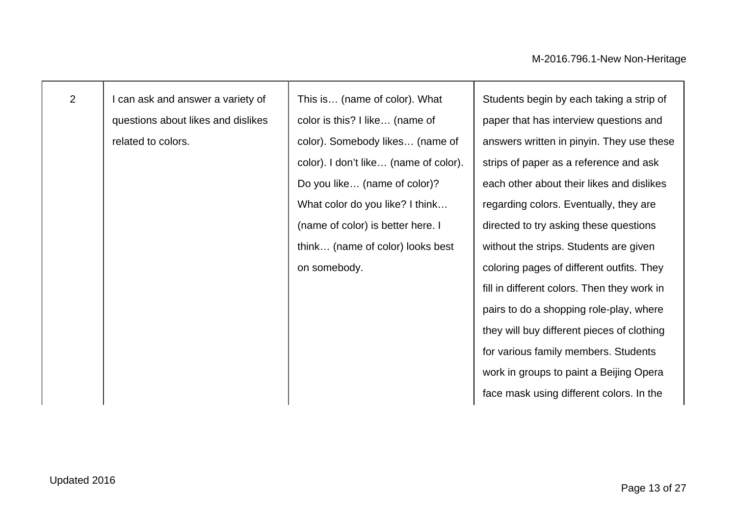2 | I can ask and answer a variety of questions about likes and dislikes related to colors.

This is… (name of color). What color is this? I like… (name of color). Somebody likes… (name of color). I don't like… (name of color). Do you like… (name of color)? What color do you like? I think... (name of color) is better here. I think… (name of color) looks best on somebody.

Students begin by each taking a strip of paper that has interview questions and answers written in pinyin. They use these strips of paper as a reference and ask each other about their likes and dislikes regarding colors. Eventually, they are directed to try asking these questions without the strips. Students are given coloring pages of different outfits. They fill in different colors. Then they work in pairs to do a shopping role-play, where they will buy different pieces of clothing for various family members. Students work in groups to paint a Beijing Opera face mask using different colors. In the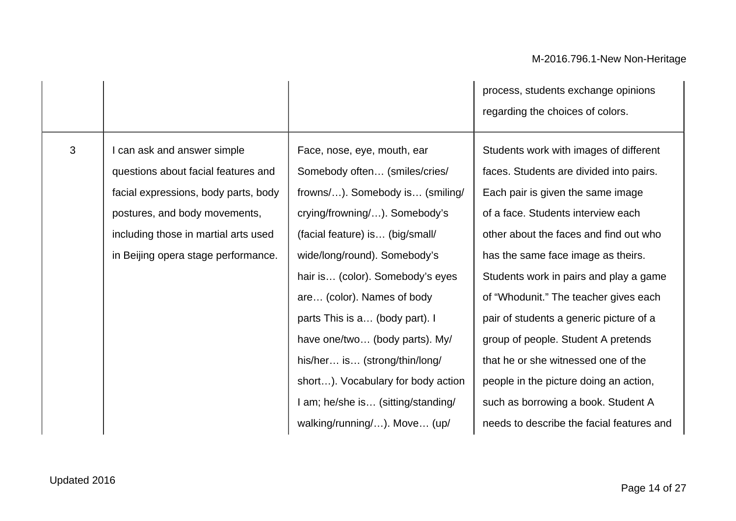|   |                                                                                                                                                                                                                            |                                                                                                                                                                                                                                                                                                                                                                                                                                                                                        | process, students exchange opinions<br>regarding the choices of colors.                                                                                                                                                                                                                                                                                                                                                                                                                                                                                                                |
|---|----------------------------------------------------------------------------------------------------------------------------------------------------------------------------------------------------------------------------|----------------------------------------------------------------------------------------------------------------------------------------------------------------------------------------------------------------------------------------------------------------------------------------------------------------------------------------------------------------------------------------------------------------------------------------------------------------------------------------|----------------------------------------------------------------------------------------------------------------------------------------------------------------------------------------------------------------------------------------------------------------------------------------------------------------------------------------------------------------------------------------------------------------------------------------------------------------------------------------------------------------------------------------------------------------------------------------|
| 3 | I can ask and answer simple<br>questions about facial features and<br>facial expressions, body parts, body<br>postures, and body movements,<br>including those in martial arts used<br>in Beijing opera stage performance. | Face, nose, eye, mouth, ear<br>Somebody often (smiles/cries/<br>frowns/). Somebody is (smiling/<br>crying/frowning/). Somebody's<br>(facial feature) is (big/small/<br>wide/long/round). Somebody's<br>hair is (color). Somebody's eyes<br>are (color). Names of body<br>parts This is a (body part). I<br>have one/two (body parts). My/<br>his/her is (strong/thin/long/<br>short). Vocabulary for body action<br>I am; he/she is (sitting/standing/<br>walking/running/). Move (up/ | Students work with images of different<br>faces. Students are divided into pairs.<br>Each pair is given the same image<br>of a face. Students interview each<br>other about the faces and find out who<br>has the same face image as theirs.<br>Students work in pairs and play a game<br>of "Whodunit." The teacher gives each<br>pair of students a generic picture of a<br>group of people. Student A pretends<br>that he or she witnessed one of the<br>people in the picture doing an action,<br>such as borrowing a book. Student A<br>needs to describe the facial features and |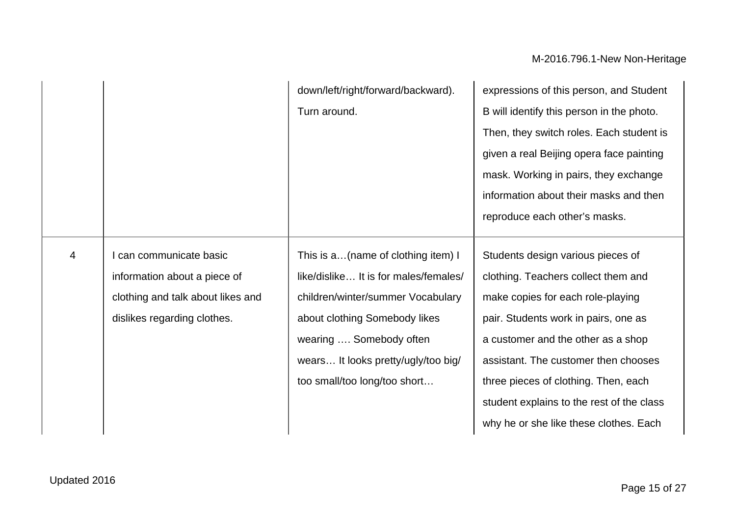|                |                                                                                                                             | down/left/right/forward/backward).<br>Turn around.                                                                                                                                                                                                  | expressions of this person, and Student<br>B will identify this person in the photo.<br>Then, they switch roles. Each student is<br>given a real Beijing opera face painting<br>mask. Working in pairs, they exchange<br>information about their masks and then<br>reproduce each other's masks.                                                                   |
|----------------|-----------------------------------------------------------------------------------------------------------------------------|-----------------------------------------------------------------------------------------------------------------------------------------------------------------------------------------------------------------------------------------------------|--------------------------------------------------------------------------------------------------------------------------------------------------------------------------------------------------------------------------------------------------------------------------------------------------------------------------------------------------------------------|
| $\overline{4}$ | I can communicate basic<br>information about a piece of<br>clothing and talk about likes and<br>dislikes regarding clothes. | This is a(name of clothing item) I<br>like/dislike It is for males/females/<br>children/winter/summer Vocabulary<br>about clothing Somebody likes<br>wearing  Somebody often<br>wears It looks pretty/ugly/too big/<br>too small/too long/too short | Students design various pieces of<br>clothing. Teachers collect them and<br>make copies for each role-playing<br>pair. Students work in pairs, one as<br>a customer and the other as a shop<br>assistant. The customer then chooses<br>three pieces of clothing. Then, each<br>student explains to the rest of the class<br>why he or she like these clothes. Each |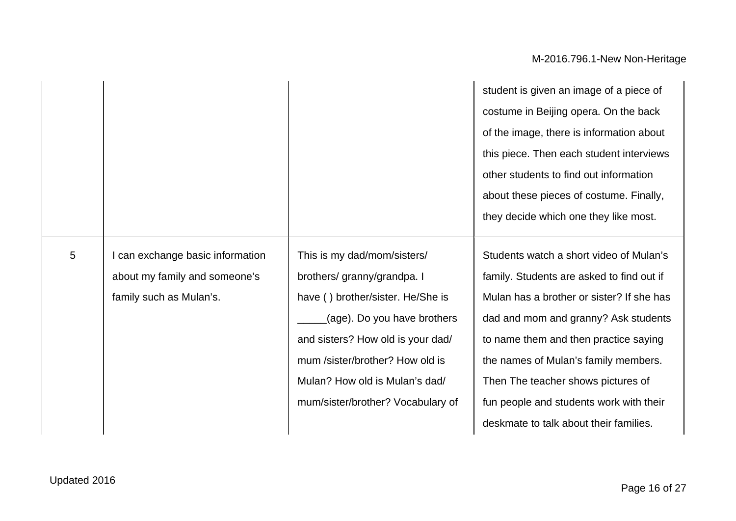|   |                                |                                   | student is given an image of a piece of   |
|---|--------------------------------|-----------------------------------|-------------------------------------------|
|   |                                |                                   | costume in Beijing opera. On the back     |
|   |                                |                                   | of the image, there is information about  |
|   |                                |                                   | this piece. Then each student interviews  |
|   |                                |                                   | other students to find out information    |
|   |                                |                                   | about these pieces of costume. Finally,   |
|   |                                |                                   | they decide which one they like most.     |
|   |                                |                                   |                                           |
| 5 | can exchange basic information | This is my dad/mom/sisters/       | Students watch a short video of Mulan's   |
|   | about my family and someone's  | brothers/ granny/grandpa. I       | family. Students are asked to find out if |
|   | family such as Mulan's.        | have () brother/sister. He/She is | Mulan has a brother or sister? If she has |
|   |                                | (age). Do you have brothers       | dad and mom and granny? Ask students      |
|   |                                | and sisters? How old is your dad/ | to name them and then practice saying     |
|   |                                | mum /sister/brother? How old is   | the names of Mulan's family members.      |
|   |                                | Mulan? How old is Mulan's dad/    | Then The teacher shows pictures of        |
|   |                                | mum/sister/brother? Vocabulary of | fun people and students work with their   |
|   |                                |                                   | deskmate to talk about their families.    |
|   |                                |                                   |                                           |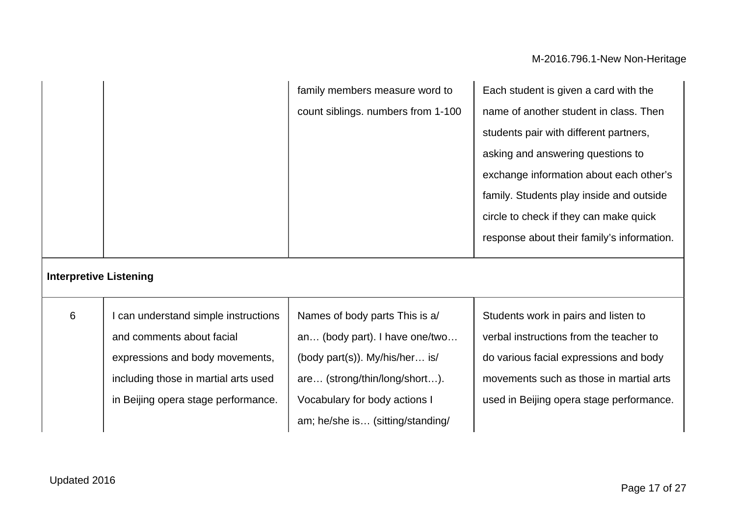|                               |                                                                                                                                                                                     | family members measure word to<br>count siblings. numbers from 1-100                                                                                                                                     | Each student is given a card with the<br>name of another student in class. Then<br>students pair with different partners,<br>asking and answering questions to<br>exchange information about each other's<br>family. Students play inside and outside<br>circle to check if they can make quick<br>response about their family's information. |
|-------------------------------|-------------------------------------------------------------------------------------------------------------------------------------------------------------------------------------|----------------------------------------------------------------------------------------------------------------------------------------------------------------------------------------------------------|-----------------------------------------------------------------------------------------------------------------------------------------------------------------------------------------------------------------------------------------------------------------------------------------------------------------------------------------------|
| <b>Interpretive Listening</b> |                                                                                                                                                                                     |                                                                                                                                                                                                          |                                                                                                                                                                                                                                                                                                                                               |
| $6\phantom{1}$                | I can understand simple instructions<br>and comments about facial<br>expressions and body movements,<br>including those in martial arts used<br>in Beijing opera stage performance. | Names of body parts This is a/<br>an (body part). I have one/two<br>(body part(s)). My/his/her is/<br>are (strong/thin/long/short).<br>Vocabulary for body actions I<br>am; he/she is (sitting/standing/ | Students work in pairs and listen to<br>verbal instructions from the teacher to<br>do various facial expressions and body<br>movements such as those in martial arts<br>used in Beijing opera stage performance.                                                                                                                              |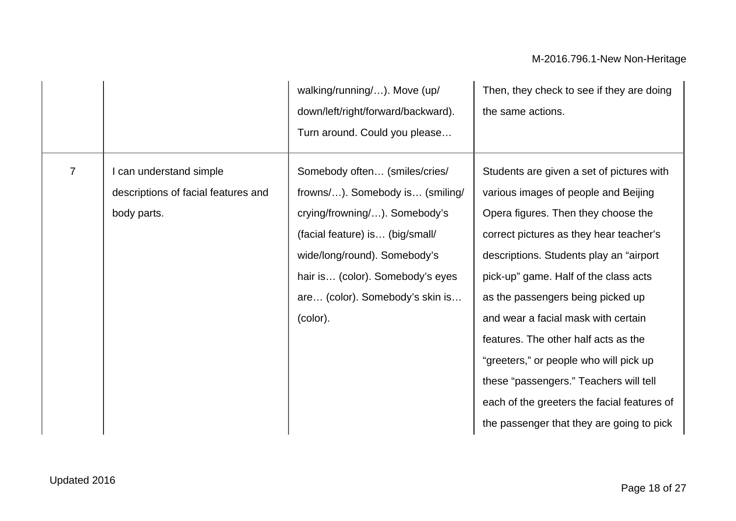|                |                                                                               | walking/running/). Move (up/<br>down/left/right/forward/backward).<br>Turn around. Could you please                                                                                                                                                     | Then, they check to see if they are doing<br>the same actions.                                                                                                                                                                                                                                                                                                                                                                                                                                                                                               |
|----------------|-------------------------------------------------------------------------------|---------------------------------------------------------------------------------------------------------------------------------------------------------------------------------------------------------------------------------------------------------|--------------------------------------------------------------------------------------------------------------------------------------------------------------------------------------------------------------------------------------------------------------------------------------------------------------------------------------------------------------------------------------------------------------------------------------------------------------------------------------------------------------------------------------------------------------|
| $\overline{7}$ | I can understand simple<br>descriptions of facial features and<br>body parts. | Somebody often (smiles/cries/<br>frowns/). Somebody is (smiling/<br>crying/frowning/). Somebody's<br>(facial feature) is (big/small/<br>wide/long/round). Somebody's<br>hair is (color). Somebody's eyes<br>are (color). Somebody's skin is<br>(color). | Students are given a set of pictures with<br>various images of people and Beijing<br>Opera figures. Then they choose the<br>correct pictures as they hear teacher's<br>descriptions. Students play an "airport"<br>pick-up" game. Half of the class acts<br>as the passengers being picked up<br>and wear a facial mask with certain<br>features. The other half acts as the<br>"greeters," or people who will pick up<br>these "passengers." Teachers will tell<br>each of the greeters the facial features of<br>the passenger that they are going to pick |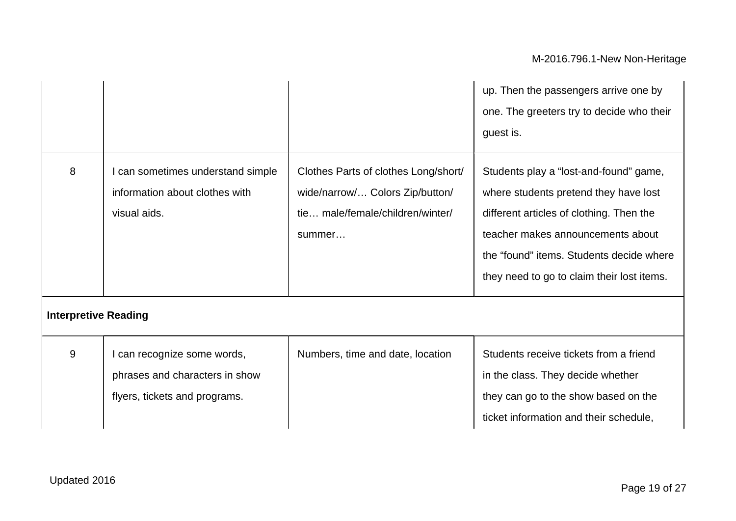|                             |                                                                                                |                                                                                                                       | up. Then the passengers arrive one by<br>one. The greeters try to decide who their<br>guest is.                                                                                                                                                            |
|-----------------------------|------------------------------------------------------------------------------------------------|-----------------------------------------------------------------------------------------------------------------------|------------------------------------------------------------------------------------------------------------------------------------------------------------------------------------------------------------------------------------------------------------|
| 8                           | can sometimes understand simple<br>information about clothes with<br>visual aids.              | Clothes Parts of clothes Long/short/<br>wide/narrow/ Colors Zip/button/<br>tie male/female/children/winter/<br>summer | Students play a "lost-and-found" game,<br>where students pretend they have lost<br>different articles of clothing. Then the<br>teacher makes announcements about<br>the "found" items. Students decide where<br>they need to go to claim their lost items. |
| <b>Interpretive Reading</b> |                                                                                                |                                                                                                                       |                                                                                                                                                                                                                                                            |
| $9\,$                       | I can recognize some words,<br>phrases and characters in show<br>flyers, tickets and programs. | Numbers, time and date, location                                                                                      | Students receive tickets from a friend<br>in the class. They decide whether<br>they can go to the show based on the<br>ticket information and their schedule,                                                                                              |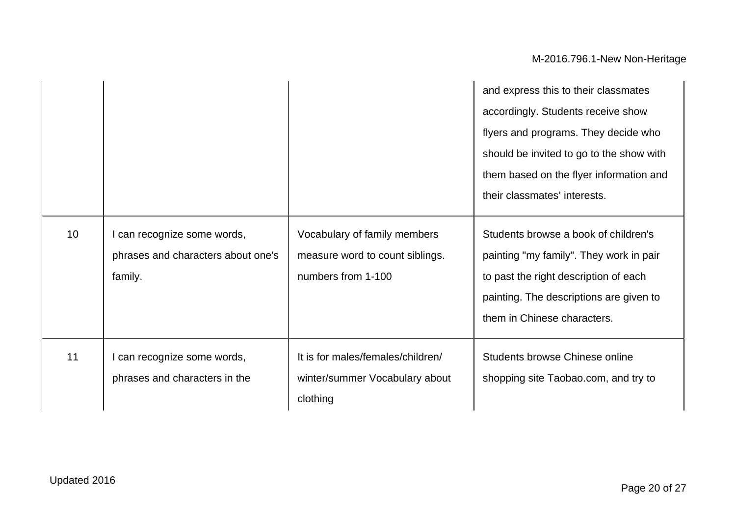|                 |                                    |                                   | and express this to their classmates     |
|-----------------|------------------------------------|-----------------------------------|------------------------------------------|
|                 |                                    |                                   | accordingly. Students receive show       |
|                 |                                    |                                   | flyers and programs. They decide who     |
|                 |                                    |                                   | should be invited to go to the show with |
|                 |                                    |                                   | them based on the flyer information and  |
|                 |                                    |                                   | their classmates' interests.             |
| 10 <sup>°</sup> | I can recognize some words,        | Vocabulary of family members      | Students browse a book of children's     |
|                 | phrases and characters about one's | measure word to count siblings.   | painting "my family". They work in pair  |
|                 | family.                            | numbers from 1-100                | to past the right description of each    |
|                 |                                    |                                   | painting. The descriptions are given to  |
|                 |                                    |                                   | them in Chinese characters.              |
| 11              | I can recognize some words,        | It is for males/females/children/ | Students browse Chinese online           |
|                 | phrases and characters in the      | winter/summer Vocabulary about    | shopping site Taobao.com, and try to     |
|                 |                                    | clothing                          |                                          |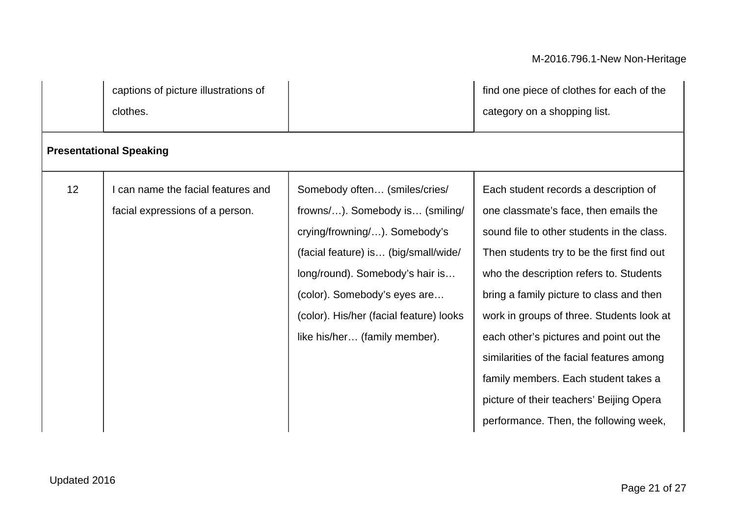captions of picture illustrations of clothes.

find one piece of clothes for each of the category on a shopping list.

| 12 | can name the facial features and | Somebody often (smiles/cries/           | Each student records a description of      |
|----|----------------------------------|-----------------------------------------|--------------------------------------------|
|    | facial expressions of a person.  | frowns/). Somebody is (smiling/         | one classmate's face, then emails the      |
|    |                                  | crying/frowning/). Somebody's           | sound file to other students in the class. |
|    |                                  | (facial feature) is (big/small/wide/    | Then students try to be the first find out |
|    |                                  | long/round). Somebody's hair is         | who the description refers to. Students    |
|    |                                  | (color). Somebody's eyes are            | bring a family picture to class and then   |
|    |                                  | (color). His/her (facial feature) looks | work in groups of three. Students look at  |
|    |                                  | like his/her (family member).           | each other's pictures and point out the    |
|    |                                  |                                         | similarities of the facial features among  |
|    |                                  |                                         | family members. Each student takes a       |
|    |                                  |                                         | picture of their teachers' Beijing Opera   |
|    |                                  |                                         | performance. Then, the following week,     |

**Presentational Speaking**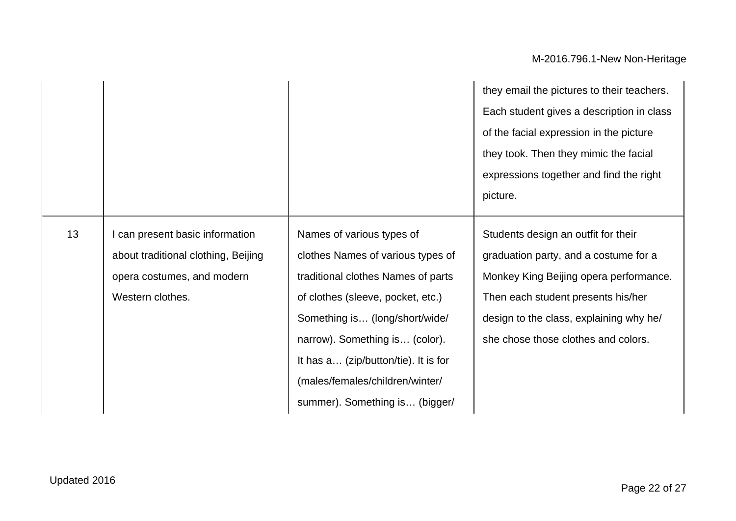|    |                                     |                                      | they email the pictures to their teachers. |
|----|-------------------------------------|--------------------------------------|--------------------------------------------|
|    |                                     |                                      | Each student gives a description in class  |
|    |                                     |                                      | of the facial expression in the picture    |
|    |                                     |                                      | they took. Then they mimic the facial      |
|    |                                     |                                      | expressions together and find the right    |
|    |                                     |                                      | picture.                                   |
| 13 | can present basic information       | Names of various types of            | Students design an outfit for their        |
|    | about traditional clothing, Beijing | clothes Names of various types of    | graduation party, and a costume for a      |
|    | opera costumes, and modern          | traditional clothes Names of parts   | Monkey King Beijing opera performance.     |
|    | Western clothes.                    | of clothes (sleeve, pocket, etc.)    | Then each student presents his/her         |
|    |                                     | Something is (long/short/wide/       | design to the class, explaining why he/    |
|    |                                     | narrow). Something is (color).       | she chose those clothes and colors.        |
|    |                                     | It has a (zip/button/tie). It is for |                                            |
|    |                                     | (males/females/children/winter/      |                                            |
|    |                                     | summer). Something is (bigger/       |                                            |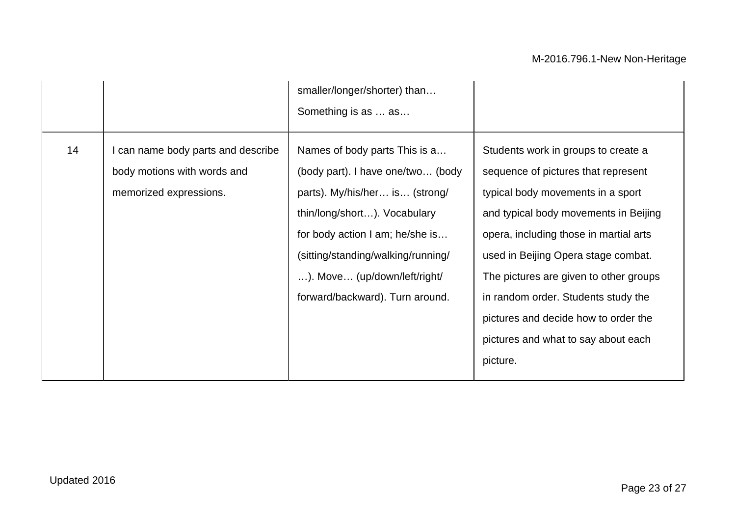|    |                                                                                             | smaller/longer/shorter) than<br>Something is as  as                                                                                                                                                                                                                              |                                                                                                                                                                                                                                                                                                                                                                                                                       |
|----|---------------------------------------------------------------------------------------------|----------------------------------------------------------------------------------------------------------------------------------------------------------------------------------------------------------------------------------------------------------------------------------|-----------------------------------------------------------------------------------------------------------------------------------------------------------------------------------------------------------------------------------------------------------------------------------------------------------------------------------------------------------------------------------------------------------------------|
| 14 | I can name body parts and describe<br>body motions with words and<br>memorized expressions. | Names of body parts This is a<br>(body part). I have one/two (body<br>parts). My/his/her is (strong/<br>thin/long/short). Vocabulary<br>for body action I am; he/she is<br>(sitting/standing/walking/running/<br>). Move (up/down/left/right/<br>forward/backward). Turn around. | Students work in groups to create a<br>sequence of pictures that represent<br>typical body movements in a sport<br>and typical body movements in Beijing<br>opera, including those in martial arts<br>used in Beijing Opera stage combat.<br>The pictures are given to other groups<br>in random order. Students study the<br>pictures and decide how to order the<br>pictures and what to say about each<br>picture. |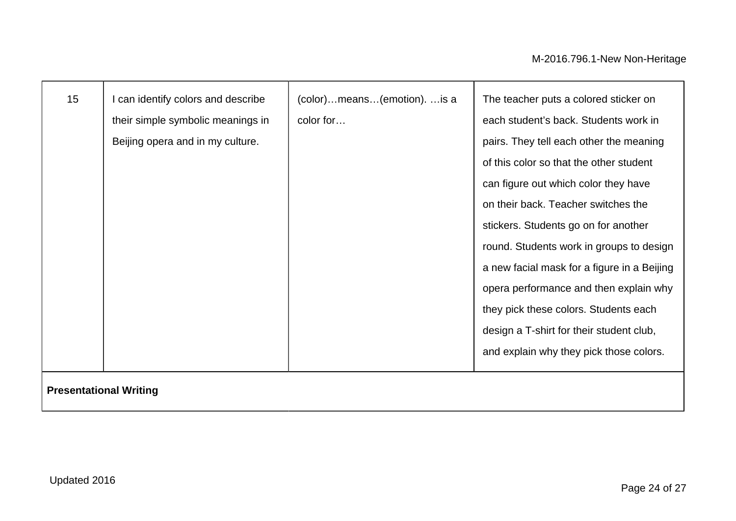| 15 | I can identify colors and describe<br>their simple symbolic meanings in<br>Beijing opera and in my culture. | (color)means(emotion)is a<br>color for | The teacher puts a colored sticker on<br>each student's back. Students work in<br>pairs. They tell each other the meaning<br>of this color so that the other student<br>can figure out which color they have<br>on their back. Teacher switches the<br>stickers. Students go on for another<br>round. Students work in groups to design<br>a new facial mask for a figure in a Beijing<br>opera performance and then explain why<br>they pick these colors. Students each |
|----|-------------------------------------------------------------------------------------------------------------|----------------------------------------|---------------------------------------------------------------------------------------------------------------------------------------------------------------------------------------------------------------------------------------------------------------------------------------------------------------------------------------------------------------------------------------------------------------------------------------------------------------------------|
|    |                                                                                                             |                                        | design a T-shirt for their student club,<br>and explain why they pick those colors.                                                                                                                                                                                                                                                                                                                                                                                       |

### **Presentational Writing**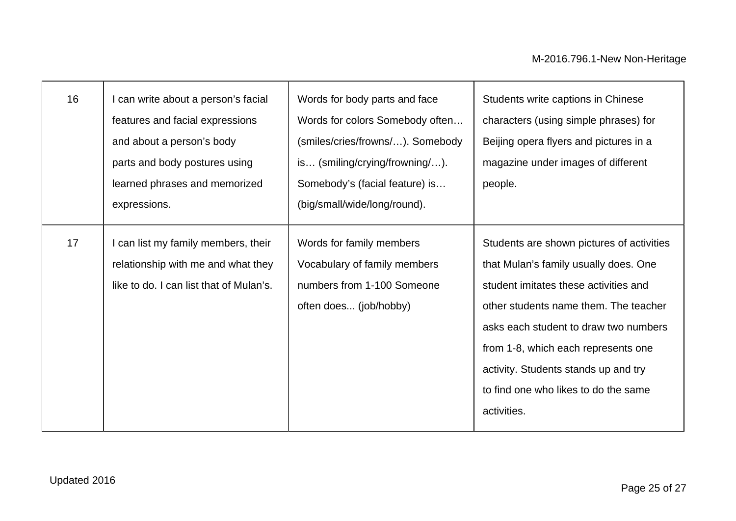| 16 | I can write about a person's facial<br>features and facial expressions<br>and about a person's body<br>parts and body postures using<br>learned phrases and memorized<br>expressions. | Words for body parts and face<br>Words for colors Somebody often<br>(smiles/cries/frowns/). Somebody<br>$is$ (smiling/crying/frowning/).<br>Somebody's (facial feature) is<br>(big/small/wide/long/round). | Students write captions in Chinese<br>characters (using simple phrases) for<br>Beijing opera flyers and pictures in a<br>magazine under images of different<br>people.                                                                                                                                                                              |
|----|---------------------------------------------------------------------------------------------------------------------------------------------------------------------------------------|------------------------------------------------------------------------------------------------------------------------------------------------------------------------------------------------------------|-----------------------------------------------------------------------------------------------------------------------------------------------------------------------------------------------------------------------------------------------------------------------------------------------------------------------------------------------------|
| 17 | I can list my family members, their<br>relationship with me and what they<br>like to do. I can list that of Mulan's.                                                                  | Words for family members<br>Vocabulary of family members<br>numbers from 1-100 Someone<br>often does (job/hobby)                                                                                           | Students are shown pictures of activities<br>that Mulan's family usually does. One<br>student imitates these activities and<br>other students name them. The teacher<br>asks each student to draw two numbers<br>from 1-8, which each represents one<br>activity. Students stands up and try<br>to find one who likes to do the same<br>activities. |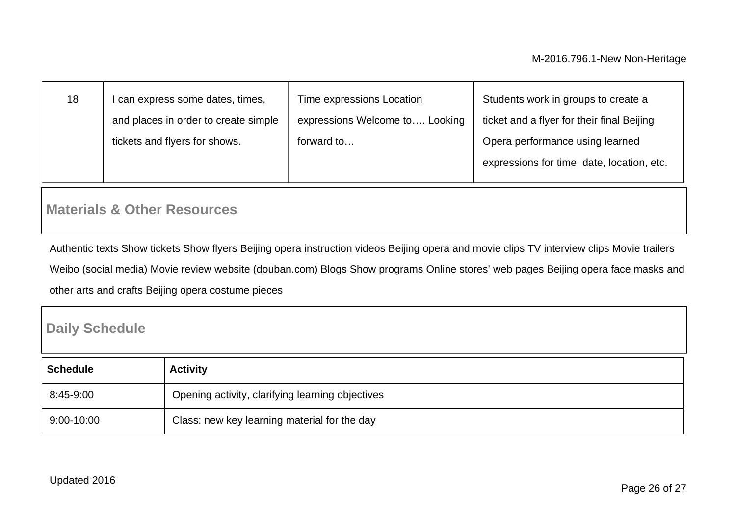| 18 | can express some dates, times,       | Time expressions Location      | Students work in groups to create a                                           |
|----|--------------------------------------|--------------------------------|-------------------------------------------------------------------------------|
|    | and places in order to create simple | expressions Welcome to Looking | ticket and a flyer for their final Beijing                                    |
|    | tickets and flyers for shows.        | forward to                     | Opera performance using learned<br>expressions for time, date, location, etc. |

### **Materials & Other Resources**

Authentic texts Show tickets Show flyers Beijing opera instruction videos Beijing opera and movie clips TV interview clips Movie trailers Weibo (social media) Movie review website (douban.com) Blogs Show programs Online stores' web pages Beijing opera face masks and other arts and crafts Beijing opera costume pieces

### **Daily Schedule**

| <b>Schedule</b> | <b>Activity</b>                                  |
|-----------------|--------------------------------------------------|
| 8:45-9:00       | Opening activity, clarifying learning objectives |
| $9:00 - 10:00$  | Class: new key learning material for the day     |